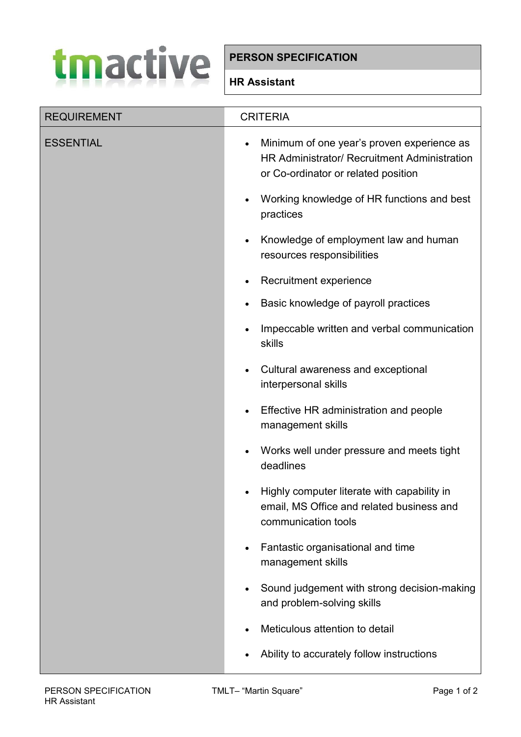## tmactive

## **PERSON SPECIFICATION**

## **HR Assistant**

| <b>REQUIREMENT</b> | <b>CRITERIA</b>                                                                                                                   |
|--------------------|-----------------------------------------------------------------------------------------------------------------------------------|
| <b>ESSENTIAL</b>   | Minimum of one year's proven experience as<br>HR Administrator/ Recruitment Administration<br>or Co-ordinator or related position |
|                    | Working knowledge of HR functions and best<br>practices                                                                           |
|                    | Knowledge of employment law and human<br>resources responsibilities                                                               |
|                    | Recruitment experience                                                                                                            |
|                    | Basic knowledge of payroll practices                                                                                              |
|                    | Impeccable written and verbal communication<br>skills                                                                             |
|                    | Cultural awareness and exceptional<br>interpersonal skills                                                                        |
|                    | Effective HR administration and people<br>management skills                                                                       |
|                    | Works well under pressure and meets tight<br>deadlines                                                                            |
|                    | Highly computer literate with capability in<br>email, MS Office and related business and<br>communication tools                   |
|                    | Fantastic organisational and time<br>management skills                                                                            |
|                    | Sound judgement with strong decision-making<br>and problem-solving skills                                                         |
|                    | Meticulous attention to detail                                                                                                    |
|                    | Ability to accurately follow instructions                                                                                         |